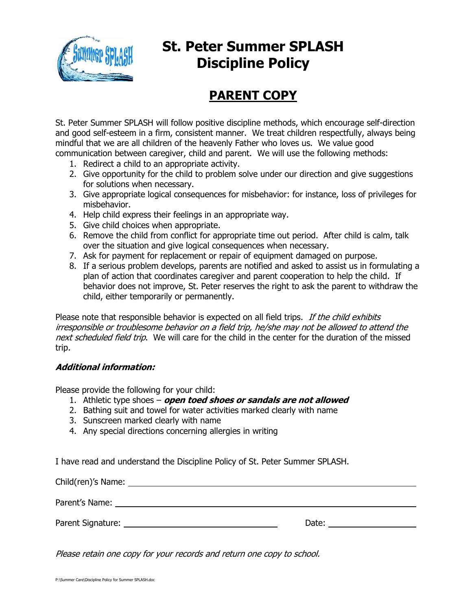

# **St. Peter Summer SPLASH Discipline Policy**

### **PARENT COPY**

St. Peter Summer SPLASH will follow positive discipline methods, which encourage self-direction and good self-esteem in a firm, consistent manner. We treat children respectfully, always being mindful that we are all children of the heavenly Father who loves us. We value good communication between caregiver, child and parent. We will use the following methods:

- 1. Redirect a child to an appropriate activity.
- 2. Give opportunity for the child to problem solve under our direction and give suggestions for solutions when necessary.
- 3. Give appropriate logical consequences for misbehavior: for instance, loss of privileges for misbehavior.
- 4. Help child express their feelings in an appropriate way.
- 5. Give child choices when appropriate.
- 6. Remove the child from conflict for appropriate time out period. After child is calm, talk over the situation and give logical consequences when necessary.
- 7. Ask for payment for replacement or repair of equipment damaged on purpose.
- 8. If a serious problem develops, parents are notified and asked to assist us in formulating a plan of action that coordinates caregiver and parent cooperation to help the child. If behavior does not improve, St. Peter reserves the right to ask the parent to withdraw the child, either temporarily or permanently.

Please note that responsible behavior is expected on all field trips. If the child exhibits irresponsible or troublesome behavior on a field trip, he/she may not be allowed to attend the next scheduled field trip. We will care for the child in the center for the duration of the missed trip.

#### **Additional information:**

Please provide the following for your child:

- 1. Athletic type shoes **open toed shoes or sandals are not allowed**
- 2. Bathing suit and towel for water activities marked clearly with name
- 3. Sunscreen marked clearly with name
- 4. Any special directions concerning allergies in writing

I have read and understand the Discipline Policy of St. Peter Summer SPLASH.

Child(ren)'s Name: Parent's Name: Latin and Contract and Contract and Contract and Contract and Contract and Contract and Contract and Contract and Contract and Contract and Contract and Contract and Contract and Contract and Contract and Co Parent Signature: Date:

Please retain one copy for your records and return one copy to school.